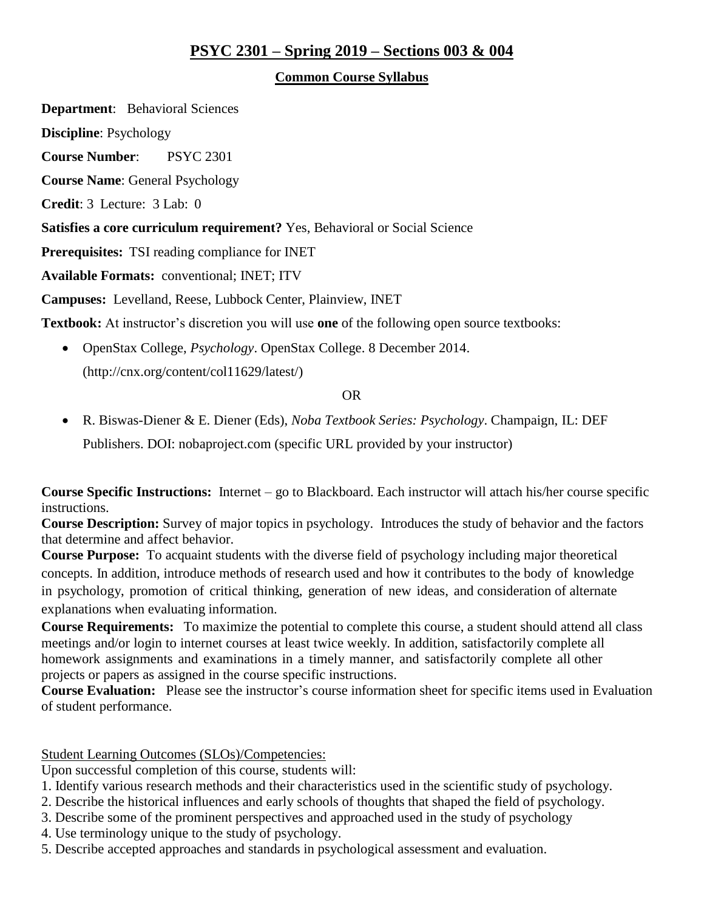# **PSYC 2301 – Spring 2019 – Sections 003 & 004**

#### **Common Course Syllabus**

**Department**: Behavioral Sciences **Discipline**: Psychology **Course Number**: PSYC 2301 **Course Name**: General Psychology **Credit**: 3 Lecture: 3 Lab: 0 **Satisfies a core curriculum requirement?** Yes, Behavioral or Social Science **Prerequisites:** TSI reading compliance for INET **Available Formats:** conventional; INET; ITV **Campuses:** Levelland, Reese, Lubbock Center, Plainview, INET **Textbook:** At instructor's discretion you will use **one** of the following open source textbooks:

 OpenStax College, *Psychology*. OpenStax College. 8 December 2014. [\(http://cnx.org/content/col11629/latest/\)](http://cnx.org/content/col11629/latest/)

OR

 R. Biswas-Diener & E. Diener (Eds), *Noba Textbook Series: Psychology*. Champaign, IL: DEF Publishers. DOI: nobaproject.com (specific URL provided by your instructor)

**Course Specific Instructions:** Internet – go to Blackboard. Each instructor will attach his/her course specific instructions.

**Course Description:** Survey of major topics in psychology. Introduces the study of behavior and the factors that determine and affect behavior.

**Course Purpose:** To acquaint students with the diverse field of psychology including major theoretical concepts. In addition, introduce methods of research used and how it contributes to the body of knowledge in psychology, promotion of critical thinking, generation of new ideas, and consideration of alternate explanations when evaluating information.

**Course Requirements:** To maximize the potential to complete this course, a student should attend all class meetings and/or login to internet courses at least twice weekly. In addition, satisfactorily complete all homework assignments and examinations in a timely manner, and satisfactorily complete all other projects or papers as assigned in the course specific instructions.

**Course Evaluation:** Please see the instructor's course information sheet for specific items used in Evaluation of student performance.

Student Learning Outcomes (SLOs)/Competencies:

Upon successful completion of this course, students will:

- 1. Identify various research methods and their characteristics used in the scientific study of psychology.
- 2. Describe the historical influences and early schools of thoughts that shaped the field of psychology.
- 3. Describe some of the prominent perspectives and approached used in the study of psychology
- 4. Use terminology unique to the study of psychology.
- 5. Describe accepted approaches and standards in psychological assessment and evaluation.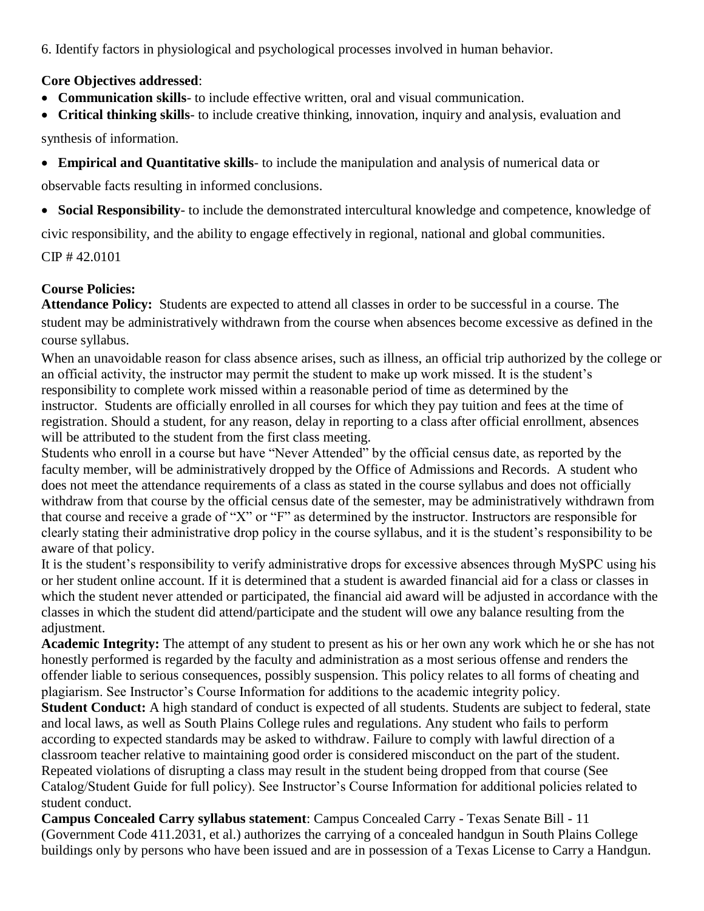6. Identify factors in physiological and psychological processes involved in human behavior.

#### **Core Objectives addressed**:

- **Communication skills** to include effective written, oral and visual communication.
- **Critical thinking skills** to include creative thinking, innovation, inquiry and analysis, evaluation and

synthesis of information.

**Empirical and Quantitative skills**- to include the manipulation and analysis of numerical data or

observable facts resulting in informed conclusions.

**Social Responsibility**- to include the demonstrated intercultural knowledge and competence, knowledge of

civic responsibility, and the ability to engage effectively in regional, national and global communities.

CIP # 42.0101

# **Course Policies:**

**Attendance Policy:** Students are expected to attend all classes in order to be successful in a course. The student may be administratively withdrawn from the course when absences become excessive as defined in the course syllabus.

When an unavoidable reason for class absence arises, such as illness, an official trip authorized by the college or an official activity, the instructor may permit the student to make up work missed. It is the student's responsibility to complete work missed within a reasonable period of time as determined by the instructor. Students are officially enrolled in all courses for which they pay tuition and fees at the time of registration. Should a student, for any reason, delay in reporting to a class after official enrollment, absences will be attributed to the student from the first class meeting.

Students who enroll in a course but have "Never Attended" by the official census date, as reported by the faculty member, will be administratively dropped by the Office of Admissions and Records. A student who does not meet the attendance requirements of a class as stated in the course syllabus and does not officially withdraw from that course by the official census date of the semester, may be administratively withdrawn from that course and receive a grade of "X" or "F" as determined by the instructor. Instructors are responsible for clearly stating their administrative drop policy in the course syllabus, and it is the student's responsibility to be aware of that policy.

It is the student's responsibility to verify administrative drops for excessive absences through MySPC using his or her student online account. If it is determined that a student is awarded financial aid for a class or classes in which the student never attended or participated, the financial aid award will be adjusted in accordance with the classes in which the student did attend/participate and the student will owe any balance resulting from the adjustment.

**Academic Integrity:** The attempt of any student to present as his or her own any work which he or she has not honestly performed is regarded by the faculty and administration as a most serious offense and renders the offender liable to serious consequences, possibly suspension. This policy relates to all forms of cheating and plagiarism. See Instructor's Course Information for additions to the academic integrity policy.

**Student Conduct:** A high standard of conduct is expected of all students. Students are subject to federal, state and local laws, as well as South Plains College rules and regulations. Any student who fails to perform according to expected standards may be asked to withdraw. Failure to comply with lawful direction of a classroom teacher relative to maintaining good order is considered misconduct on the part of the student. Repeated violations of disrupting a class may result in the student being dropped from that course (See Catalog/Student Guide for full policy). See Instructor's Course Information for additional policies related to student conduct.

**Campus Concealed Carry syllabus statement**: Campus Concealed Carry - Texas Senate Bill - 11 (Government Code 411.2031, et al.) authorizes the carrying of a concealed handgun in South Plains College buildings only by persons who have been issued and are in possession of a Texas License to Carry a Handgun.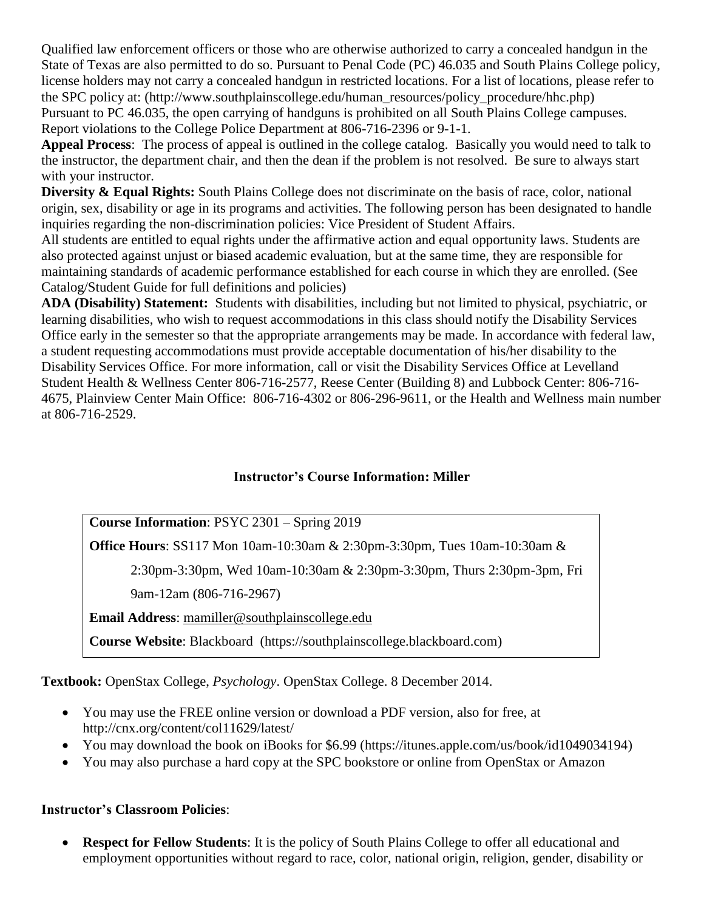Qualified law enforcement officers or those who are otherwise authorized to carry a concealed handgun in the State of Texas are also permitted to do so. Pursuant to Penal Code (PC) 46.035 and South Plains College policy, license holders may not carry a concealed handgun in restricted locations. For a list of locations, please refer to the SPC policy at: (http://www.southplainscollege.edu/human\_resources/policy\_procedure/hhc.php) Pursuant to PC 46.035, the open carrying of handguns is prohibited on all South Plains College campuses. Report violations to the College Police Department at 806-716-2396 or 9-1-1.

**Appeal Process**: The process of appeal is outlined in the college catalog. Basically you would need to talk to the instructor, the department chair, and then the dean if the problem is not resolved. Be sure to always start with your instructor.

**Diversity & Equal Rights:** South Plains College does not discriminate on the basis of race, color, national origin, sex, disability or age in its programs and activities. The following person has been designated to handle inquiries regarding the non-discrimination policies: Vice President of Student Affairs.

All students are entitled to equal rights under the affirmative action and equal opportunity laws. Students are also protected against unjust or biased academic evaluation, but at the same time, they are responsible for maintaining standards of academic performance established for each course in which they are enrolled. (See Catalog/Student Guide for full definitions and policies)

**ADA (Disability) Statement:** Students with disabilities, including but not limited to physical, psychiatric, or learning disabilities, who wish to request accommodations in this class should notify the Disability Services Office early in the semester so that the appropriate arrangements may be made. In accordance with federal law, a student requesting accommodations must provide acceptable documentation of his/her disability to the Disability Services Office. For more information, call or visit the Disability Services Office at Levelland Student Health & Wellness Center 806-716-2577, Reese Center (Building 8) and Lubbock Center: 806-716- 4675, Plainview Center Main Office: 806-716-4302 or 806-296-9611, or the Health and Wellness main number at 806-716-2529.

#### **Instructor's Course Information: Miller**

**Course Information**: PSYC 2301 – Spring 2019

**Office Hours**: SS117 Mon 10am-10:30am & 2:30pm-3:30pm, Tues 10am-10:30am &

2:30pm-3:30pm, Wed 10am-10:30am & 2:30pm-3:30pm, Thurs 2:30pm-3pm, Fri

9am-12am (806-716-2967)

**Email Address**: [mamiller@southplainscollege.edu](mailto:mamiller@southplainscollege.edu)

**Course Website**: Blackboard (https://southplainscollege.blackboard.com)

**Textbook:** OpenStax College, *Psychology*. OpenStax College. 8 December 2014.

- You may use the FREE online version or download a PDF version, also for free, at <http://cnx.org/content/col11629/latest/>
- You may download the book on iBooks for \$6.99 (https://itunes.apple.com/us/book/id1049034194)
- You may also purchase a hard copy at the SPC bookstore or online from OpenStax or Amazon

# **Instructor's Classroom Policies**:

 **Respect for Fellow Students**: It is the policy of South Plains College to offer all educational and employment opportunities without regard to race, color, national origin, religion, gender, disability or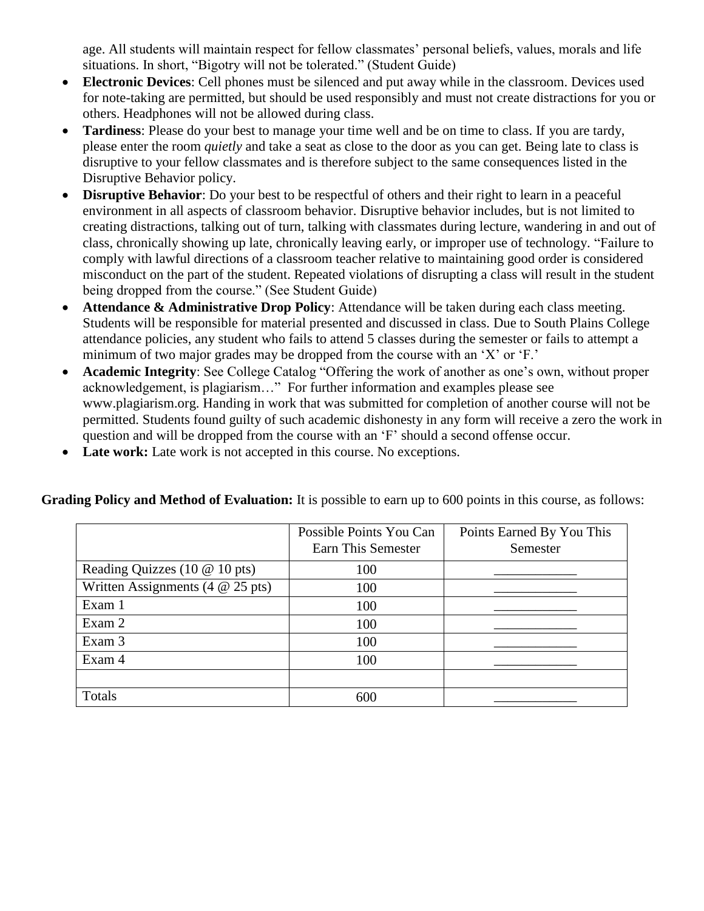age. All students will maintain respect for fellow classmates' personal beliefs, values, morals and life situations. In short, "Bigotry will not be tolerated." (Student Guide)

- **Electronic Devices**: Cell phones must be silenced and put away while in the classroom. Devices used for note-taking are permitted, but should be used responsibly and must not create distractions for you or others. Headphones will not be allowed during class.
- **Tardiness**: Please do your best to manage your time well and be on time to class. If you are tardy, please enter the room *quietly* and take a seat as close to the door as you can get. Being late to class is disruptive to your fellow classmates and is therefore subject to the same consequences listed in the Disruptive Behavior policy.
- **Disruptive Behavior**: Do your best to be respectful of others and their right to learn in a peaceful environment in all aspects of classroom behavior. Disruptive behavior includes, but is not limited to creating distractions, talking out of turn, talking with classmates during lecture, wandering in and out of class, chronically showing up late, chronically leaving early, or improper use of technology. "Failure to comply with lawful directions of a classroom teacher relative to maintaining good order is considered misconduct on the part of the student. Repeated violations of disrupting a class will result in the student being dropped from the course." (See Student Guide)
- **Attendance & Administrative Drop Policy**: Attendance will be taken during each class meeting. Students will be responsible for material presented and discussed in class. Due to South Plains College attendance policies, any student who fails to attend 5 classes during the semester or fails to attempt a minimum of two major grades may be dropped from the course with an 'X' or 'F.'
- **Academic Integrity**: See College Catalog "Offering the work of another as one's own, without proper acknowledgement, is plagiarism…" For further information and examples please see [www.plagiarism.org.](http://www.plagiarism.org/) Handing in work that was submitted for completion of another course will not be permitted. Students found guilty of such academic dishonesty in any form will receive a zero the work in question and will be dropped from the course with an 'F' should a second offense occur.
- **Late work:** Late work is not accepted in this course. No exceptions.

**Grading Policy and Method of Evaluation:** It is possible to earn up to 600 points in this course, as follows:

|                                    | Possible Points You Can<br>Earn This Semester | Points Earned By You This<br>Semester |
|------------------------------------|-----------------------------------------------|---------------------------------------|
| Reading Quizzes (10 $@$ 10 pts)    | 100                                           |                                       |
| Written Assignments (4 $@$ 25 pts) | 100                                           |                                       |
| Exam 1                             | 100                                           |                                       |
| Exam 2                             | 100                                           |                                       |
| Exam 3                             | 100                                           |                                       |
| Exam 4                             | 100                                           |                                       |
|                                    |                                               |                                       |
| Totals                             | 600                                           |                                       |